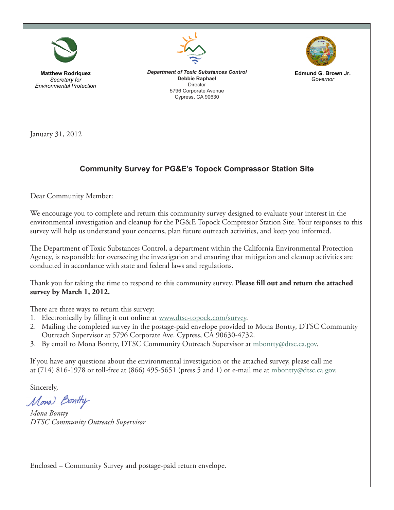

**Matthew Rodriquez**  *Secretary for Environmental Protection*



*Department of Toxic Substances Control* **Debbie Raphael** Director 5796 Corporate Avenue Cypress, CA 90630



**Edmund G. Brown Jr.**  *Governor* 

January 31, 2012

## **Community Survey for PG&E's Topock Compressor Station Site**

Dear Community Member:

We encourage you to complete and return this community survey designed to evaluate your interest in the environmental investigation and cleanup for the PG&E Topock Compressor Station Site. Your responses to this survey will help us understand your concerns, plan future outreach activities, and keep you informed.

The Department of Toxic Substances Control, a department within the California Environmental Protection Agency, is responsible for overseeing the investigation and ensuring that mitigation and cleanup activities are conducted in accordance with state and federal laws and regulations.

Thank you for taking the time to respond to this community survey. **Please fill out and return the attached survey by March 1, 2012.**

There are three ways to return this survey:

- 1. Electronically by filling it out online at www.dtsc-topock.com/survey.
- 2. Mailing the completed survey in the postage-paid envelope provided to Mona Bontty, DTSC Community Outreach Supervisor at 5796 Corporate Ave. Cypress, CA 90630-4732.
- 3. By email to Mona Bontty, DTSC Community Outreach Supervisor at mbontty@dtsc.ca.gov.

If you have any questions about the environmental investigation or the attached survey, please call me at (714) 816-1978 or toll-free at (866) 495-5651 (press 5 and 1) or e-mail me at mbontty@dtsc.ca.gov.

Sincerely,

Mona Bontly

*Mona Bontty DTSC Community Outreach Supervisor*

Enclosed – Community Survey and postage-paid return envelope.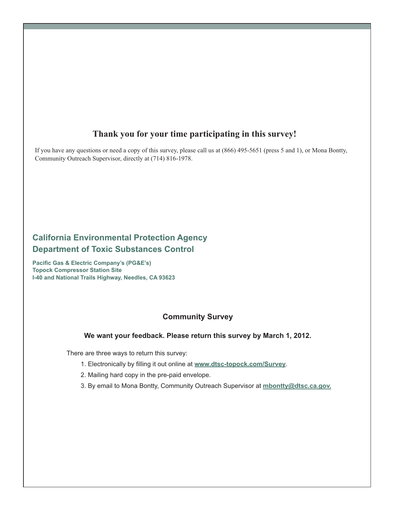# **Thank you for your time participating in this survey!**

If you have any questions or need a copy of this survey, please call us at (866) 495-5651 (press 5 and 1), or Mona Bontty, Community Outreach Supervisor, directly at (714) 816-1978.

## **California Environmental Protection Agency Department of Toxic Substances Control**

**Pacific Gas & Electric Company's (PG&E's) Topock Compressor Station Site I-40 and National Trails Highway, Needles, CA 93623**

#### **Community Survey**

#### **We want your feedback. Please return this survey by March 1, 2012.**

There are three ways to return this survey:

- 1. Electronically by filling it out online at www.dtsc-topock.com/Survey.
- 2. Mailing hard copy in the pre-paid envelope.
- 3. By email to Mona Bontty, Community Outreach Supervisor at **mbontty@dtsc.ca.gov.**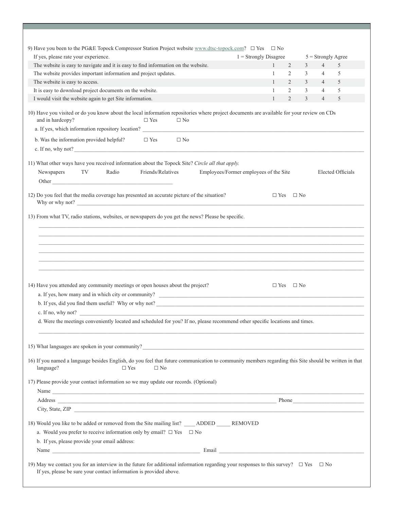| If yes, please rate your experience.<br>$1 =$ Strongly Disagree                                                                                                                                                                                    |                            |  |                                        |              |                |   |                | $5 =$ Strongly Agree     |
|----------------------------------------------------------------------------------------------------------------------------------------------------------------------------------------------------------------------------------------------------|----------------------------|--|----------------------------------------|--------------|----------------|---|----------------|--------------------------|
| The website is easy to navigate and it is easy to find information on the website.                                                                                                                                                                 |                            |  |                                        | $\mathbf{1}$ | $\overline{2}$ | 3 | $\overline{4}$ | 5                        |
| The website provides important information and project updates.                                                                                                                                                                                    |                            |  |                                        | $\mathbf{1}$ | $\overline{2}$ | 3 | $\overline{4}$ | 5                        |
| The website is easy to access.                                                                                                                                                                                                                     |                            |  |                                        | $\mathbf{1}$ | $\overline{2}$ | 3 | $\overline{4}$ | 5                        |
| It is easy to download project documents on the website.                                                                                                                                                                                           |                            |  |                                        | 1            | $\overline{2}$ | 3 | $\overline{4}$ | 5                        |
| I would visit the website again to get Site information.                                                                                                                                                                                           |                            |  |                                        | $\mathbf{1}$ | 2              | 3 | $\overline{4}$ | 5                        |
| 10) Have you visited or do you know about the local information repositories where project documents are available for your review on CDs<br>and in hardcopy?                                                                                      | $\square$ Yes<br>$\Box$ No |  |                                        |              |                |   |                |                          |
| a. If yes, which information repository location?                                                                                                                                                                                                  |                            |  |                                        |              |                |   |                |                          |
| b. Was the information provided helpful?<br>c. If no, why not?                                                                                                                                                                                     | $\Box$ Yes<br>$\Box$ No    |  |                                        |              |                |   |                |                          |
| 11) What other ways have you received information about the Topock Site? Circle all that apply.                                                                                                                                                    |                            |  |                                        |              |                |   |                |                          |
| TV <sub>1</sub><br>Radio<br>Newspapers<br>Other <u>Contact Communication</u>                                                                                                                                                                       | Friends/Relatives          |  | Employees/Former employees of the Site |              |                |   |                | <b>Elected Officials</b> |
| 12) Do you feel that the media coverage has presented an accurate picture of the situation?<br>Why or why not?                                                                                                                                     |                            |  |                                        | $\Box$ Yes   | $\square$ No   |   |                |                          |
|                                                                                                                                                                                                                                                    |                            |  |                                        |              |                |   |                |                          |
| 13) From what TV, radio stations, websites, or newspapers do you get the news? Please be specific.                                                                                                                                                 |                            |  |                                        |              |                |   |                |                          |
|                                                                                                                                                                                                                                                    |                            |  |                                        |              |                |   |                |                          |
| b. If yes, did you find them useful? Why or why not?<br><u>Letting</u> the state of the state of the state of the state of the state of the state of the state of the state of the state of the state of the state of the state of th              |                            |  |                                        | $\Box$ Yes   | $\Box$ No      |   |                |                          |
| 14) Have you attended any community meetings or open houses about the project?<br>c. If no, why not?<br>d. Were the meetings conveniently located and scheduled for you? If no, please recommend other specific locations and times.               |                            |  |                                        |              |                |   |                |                          |
| 15) What languages are spoken in your community?                                                                                                                                                                                                   |                            |  |                                        |              |                |   |                |                          |
| language?<br>$\square$ Yes                                                                                                                                                                                                                         | $\Box$ No                  |  |                                        |              |                |   |                |                          |
|                                                                                                                                                                                                                                                    |                            |  |                                        |              |                |   |                |                          |
|                                                                                                                                                                                                                                                    |                            |  |                                        |              |                |   |                |                          |
| Address Phone Phone Phone Phone Phone Phone Phone Phone Phone Phone Phone Phone Phone Phone Phone Phone Phone Phone Phone Phone Phone Phone Phone Phone Phone Phone Phone Phone Phone Phone Phone Phone Phone Phone Phone Phon<br>City, State, ZIP |                            |  |                                        |              |                |   |                |                          |
| 16) If you named a language besides English, do you feel that future communication to community members regarding this Site should be written in that<br>17) Please provide your contact information so we may update our records. (Optional)      |                            |  |                                        |              |                |   |                |                          |
|                                                                                                                                                                                                                                                    |                            |  |                                        |              |                |   |                |                          |
| a. Would you prefer to receive information only by email? $\Box$ Yes $\Box$ No                                                                                                                                                                     |                            |  |                                        |              |                |   |                |                          |
| 18) Would you like to be added or removed from the Site mailing list? ADDED REMOVED<br>b. If yes, please provide your email address:                                                                                                               |                            |  |                                        |              |                |   |                |                          |